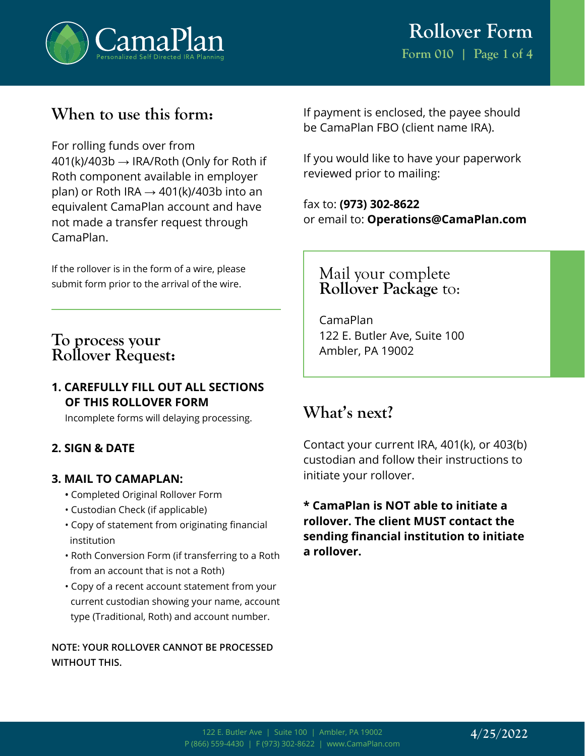

### **When to use this form:**

For rolling funds over from  $401(k)/403b \rightarrow IRA/Roth$  (Only for Roth if Roth component available in employer plan) or Roth IRA  $\rightarrow$  401(k)/403b into an equivalent CamaPlan account and have not made a transfer request through CamaPlan.

If the rollover is in the form of a wire, please submit form prior to the arrival of the wire.

### **To process your Rollover Request:**

### **1. CAREFULLY FILL OUT ALL SECTIONS OF THIS ROLLOVER FORM**

Incomplete forms will delaying processing.

### **2. SIGN & DATE**

### **3. MAIL TO CAMAPLAN:**

- **•** Completed Original Rollover Form
- Custodian Check (if applicable)
- Copy of statement from originating financial institution
- Roth Conversion Form (if transferring to a Roth from an account that is not a Roth)
- Copy of a recent account statement from your current custodian showing your name, account type (Traditional, Roth) and account number.

**NOTE: YOUR ROLLOVER CANNOT BE PROCESSED WITHOUT THIS.**

If payment is enclosed, the payee should be CamaPlan FBO (client name IRA).

If you would like to have your paperwork reviewed prior to mailing:

fax to: **(973) 302-8622** or email to: **Operations@CamaPlan.com**

Mail your complete **Rollover Package** to:

CamaPlan 122 E. Butler Ave, Suite 100 Ambler, PA 19002

## **What's next?**

Contact your current IRA, 401(k), or 403(b) custodian and follow their instructions to initiate your rollover.

**\* CamaPlan is NOT able to initiate a rollover. The client MUST contact the sending financial institution to initiate a rollover.**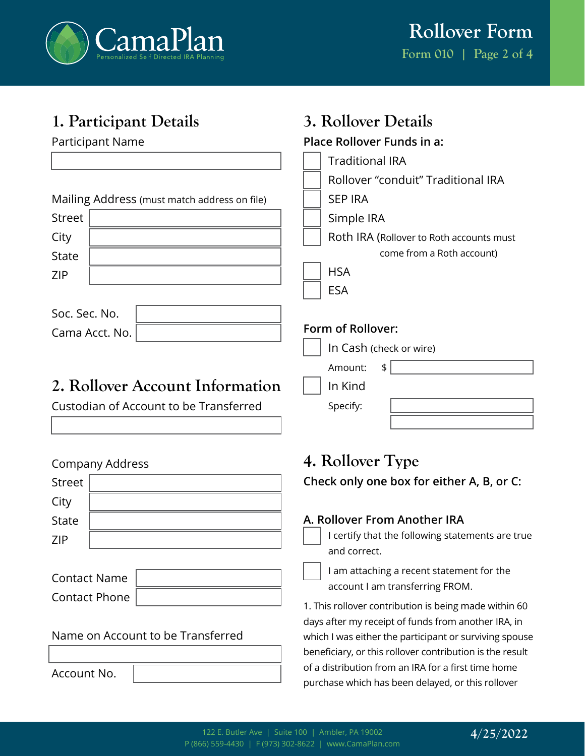

**3. Rollover Details**

# **1. Participant Details**

| <b>Participant Name</b>                      | Place Rollover Funds in a:                                                                               |
|----------------------------------------------|----------------------------------------------------------------------------------------------------------|
|                                              | <b>Traditional IRA</b>                                                                                   |
|                                              | Rollover "conduit" Traditional IRA                                                                       |
| Mailing Address (must match address on file) | <b>SEP IRA</b>                                                                                           |
| <b>Street</b>                                | Simple IRA                                                                                               |
| City<br><b>State</b>                         | Roth IRA (Rollover to Roth accounts must<br>come from a Roth account)                                    |
| <b>ZIP</b>                                   | <b>HSA</b>                                                                                               |
|                                              | <b>ESA</b>                                                                                               |
| Soc. Sec. No.                                |                                                                                                          |
| Cama Acct. No.                               | Form of Rollover:                                                                                        |
|                                              | In Cash (check or wire)                                                                                  |
|                                              | Amount:<br>\$                                                                                            |
| 2. Rollover Account Information              | In Kind                                                                                                  |
| Custodian of Account to be Transferred       | Specify:                                                                                                 |
|                                              |                                                                                                          |
| <b>Company Address</b>                       | 4. Rollover Type                                                                                         |
| <b>Street</b>                                | Check only one box for either A, B, or C:                                                                |
| City                                         |                                                                                                          |
| <b>State</b>                                 | A. Rollover From Another IRA                                                                             |
| <b>ZIP</b>                                   | I certify that the following statements are true                                                         |
|                                              | and correct.                                                                                             |
| <b>Contact Name</b>                          | I am attaching a recent statement for the<br>account I am transferring FROM.                             |
| <b>Contact Phone</b>                         | 1. This rollover contribution is being made within 60                                                    |
|                                              | days after my receipt of funds from another IRA, in                                                      |
| Name on Account to be Transferred            | which I was either the participant or surviving spouse                                                   |
|                                              | beneficiary, or this rollover contribution is the result                                                 |
| Account No.                                  | of a distribution from an IRA for a first time home<br>purchase which has been delayed, or this rollover |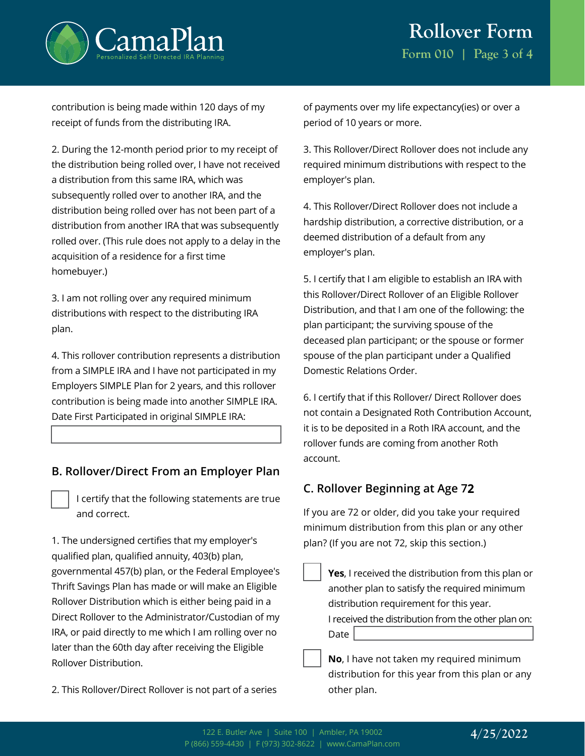



contribution is being made within 120 days of my receipt of funds from the distributing IRA.

2. During the 12-month period prior to my receipt of the distribution being rolled over, I have not received a distribution from this same IRA, which was subsequently rolled over to another IRA, and the distribution being rolled over has not been part of a distribution from another IRA that was subsequently rolled over. (This rule does not apply to a delay in the acquisition of a residence for a first time homebuyer.)

3. I am not rolling over any required minimum distributions with respect to the distributing IRA plan.

4. This rollover contribution represents a distribution from a SIMPLE IRA and I have not participated in my Employers SIMPLE Plan for 2 years, and this rollover contribution is being made into another SIMPLE IRA. Date First Participated in original SIMPLE IRA:

#### **B. Rollover/Direct From an Employer Plan**

I certify that the following statements are true and correct.

1. The undersigned certifies that my employer's qualified plan, qualified annuity, 403(b) plan, governmental 457(b) plan, or the Federal Employee's Thrift Savings Plan has made or will make an Eligible Rollover Distribution which is either being paid in a Direct Rollover to the Administrator/Custodian of my IRA, or paid directly to me which I am rolling over no later than the 60th day after receiving the Eligible Rollover Distribution.

2. This Rollover/Direct Rollover is not part of a series

of payments over my life expectancy(ies) or over a period of 10 years or more.

3. This Rollover/Direct Rollover does not include any required minimum distributions with respect to the employer's plan.

4. This Rollover/Direct Rollover does not include a hardship distribution, a corrective distribution, or a deemed distribution of a default from any employer's plan.

5. I certify that I am eligible to establish an IRA with this Rollover/Direct Rollover of an Eligible Rollover Distribution, and that I am one of the following: the plan participant; the surviving spouse of the deceased plan participant; or the spouse or former spouse of the plan participant under a Qualified Domestic Relations Order.

6. I certify that if this Rollover/ Direct Rollover does not contain a Designated Roth Contribution Account, it is to be deposited in a Roth IRA account, and the rollover funds are coming from another Roth account.

### **C. Rollover Beginning at Age 72**

If you are 72 or older, did you take your required minimum distribution from this plan or any other plan? (If you are not 72, skip this section.)

**Yes**, I received the distribution from this plan or another plan to satisfy the required minimum distribution requirement for this year. I received the distribution from the other plan on: Date |

**No**, I have not taken my required minimum distribution for this year from this plan or any other plan.